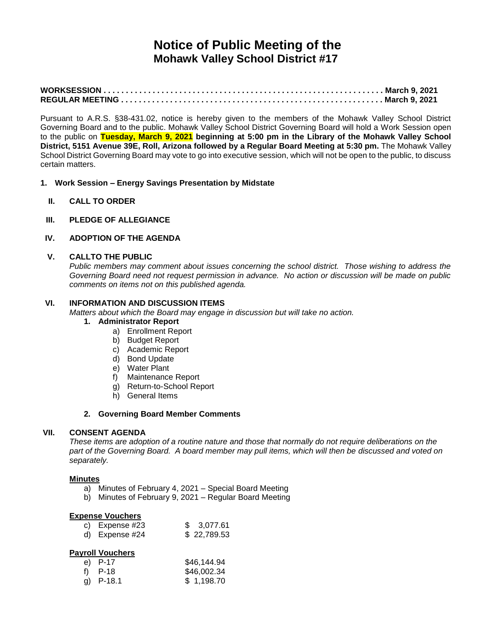# **Notice of Public Meeting of the Mohawk Valley School District #17**

Pursuant to A.R.S. §38-431.02, notice is hereby given to the members of the Mohawk Valley School District Governing Board and to the public. Mohawk Valley School District Governing Board will hold a Work Session open to the public on **Tuesday, March 9, 2021 beginning at 5:00 pm in the Library of the Mohawk Valley School District, 5151 Avenue 39E, Roll, Arizona followed by a Regular Board Meeting at 5:30 pm.** The Mohawk Valley School District Governing Board may vote to go into executive session, which will not be open to the public, to discuss certain matters.

- **1. Work Session – Energy Savings Presentation by Midstate** 
	- **II. CALL TO ORDER**
- **III. PLEDGE OF ALLEGIANCE**

## **IV. ADOPTION OF THE AGENDA**

#### **V. CALLTO THE PUBLIC**

*Public members may comment about issues concerning the school district. Those wishing to address the Governing Board need not request permission in advance. No action or discussion will be made on public comments on items not on this published agenda.*

## **VI. INFORMATION AND DISCUSSION ITEMS**

*Matters about which the Board may engage in discussion but will take no action.*

#### **1. Administrator Report**

- a) Enrollment Report
- b) Budget Report
- c) Academic Report
- d) Bond Update
- e) Water Plant
- f) Maintenance Report
- g) Return-to-School Report
- h) General Items

#### **2. Governing Board Member Comments**

#### **VII. CONSENT AGENDA**

*These items are adoption of a routine nature and those that normally do not require deliberations on the part of the Governing Board. A board member may pull items, which will then be discussed and voted on separately.*

#### **Minutes**

- a) Minutes of February 4, 2021 Special Board Meeting
- b) Minutes of February 9, 2021 Regular Board Meeting

#### **Expense Vouchers**

| c) Expense #23 | \$3,077.61  |
|----------------|-------------|
| d) Expense #24 | \$22,789.53 |

## **Payroll Vouchers**

| e) $P-17$   | \$46,144.94 |
|-------------|-------------|
| f) $P-18$   | \$46,002.34 |
| g) $P-18.1$ | \$1,198.70  |